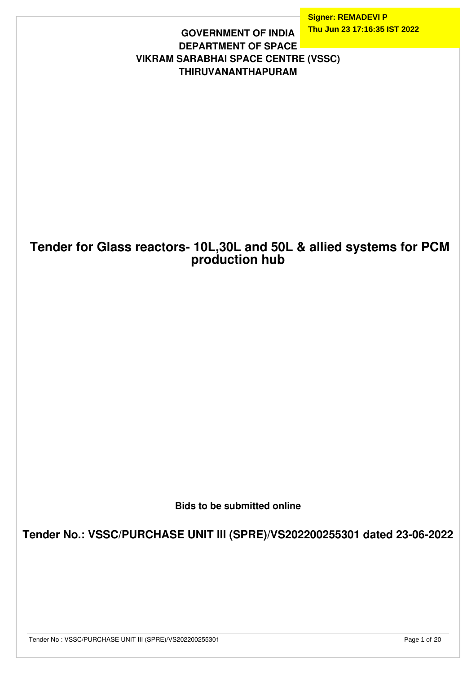**Signer: REMADEVI P Thu Jun 23 17:16:35 IST 2022**

### **GOVERNMENT OF INDIA DEPARTMENT OF SPACE VIKRAM SARABHAI SPACE CENTRE (VSSC) THIRUVANANTHAPURAM**

## **Tender for Glass reactors- 10L,30L and 50L & allied systems for PCM production hub**

**Bids to be submitted online**

**Tender No.: VSSC/PURCHASE UNIT III (SPRE)/VS202200255301 dated 23-06-2022**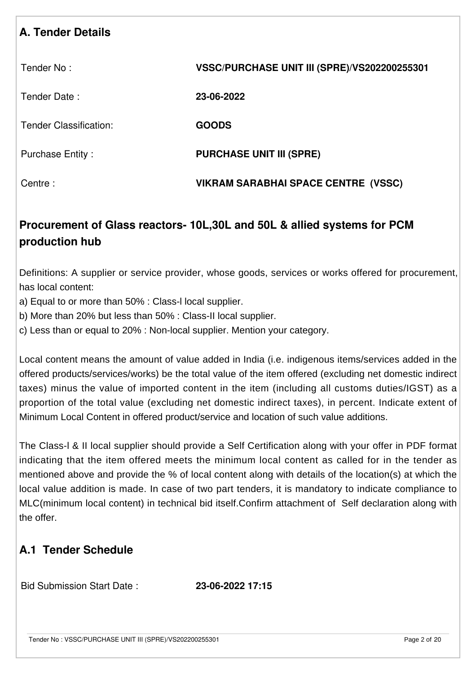## **A. Tender Details**

| Tender No:                    | VSSC/PURCHASE UNIT III (SPRE)/VS202200255301 |
|-------------------------------|----------------------------------------------|
| Tender Date:                  | 23-06-2022                                   |
| <b>Tender Classification:</b> | <b>GOODS</b>                                 |
| <b>Purchase Entity:</b>       | <b>PURCHASE UNIT III (SPRE)</b>              |
| Centre:                       | VIKRAM SARABHAI SPACE CENTRE (VSSC)          |

# **Procurement of Glass reactors- 10L,30L and 50L & allied systems for PCM production hub**

Definitions: A supplier or service provider, whose goods, services or works offered for procurement, has local content:

- a) Equal to or more than 50% : Class-l local supplier.
- b) More than 20% but less than 50% : Class-II local supplier.
- c) Less than or equal to 20% : Non-local supplier. Mention your category.

Local content means the amount of value added in India (i.e. indigenous items/services added in the offered products/services/works) be the total value of the item offered (excluding net domestic indirect taxes) minus the value of imported content in the item (including all customs duties/IGST) as a proportion of the total value (excluding net domestic indirect taxes), in percent. Indicate extent of Minimum Local Content in offered product/service and location of such value additions.

The Class-l & II local supplier should provide a Self Certification along with your offer in PDF format indicating that the item offered meets the minimum local content as called for in the tender as mentioned above and provide the % of local content along with details of the location(s) at which the local value addition is made. In case of two part tenders, it is mandatory to indicate compliance to MLC(minimum local content) in technical bid itself.Confirm attachment of Self declaration along with the offer.

## **A.1 Tender Schedule**

Bid Submission Start Date : **23-06-2022 17:15**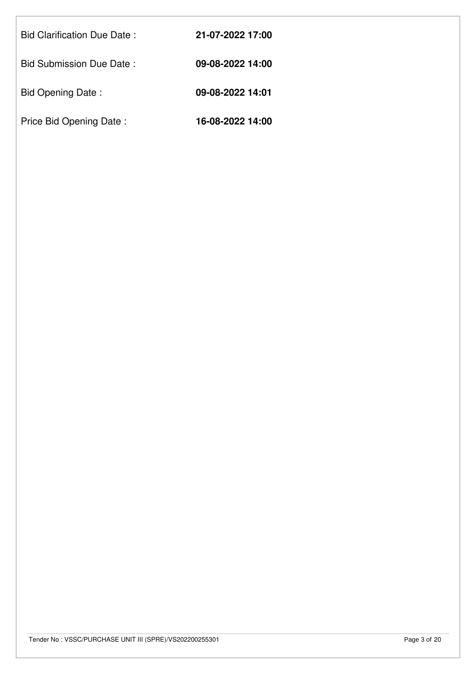| <b>Bid Clarification Due Date:</b> | 21-07-2022 17:00 |
|------------------------------------|------------------|
| Bid Submission Due Date:           | 09-08-2022 14:00 |
| <b>Bid Opening Date:</b>           | 09-08-2022 14:01 |
| Price Bid Opening Date:            | 16-08-2022 14:00 |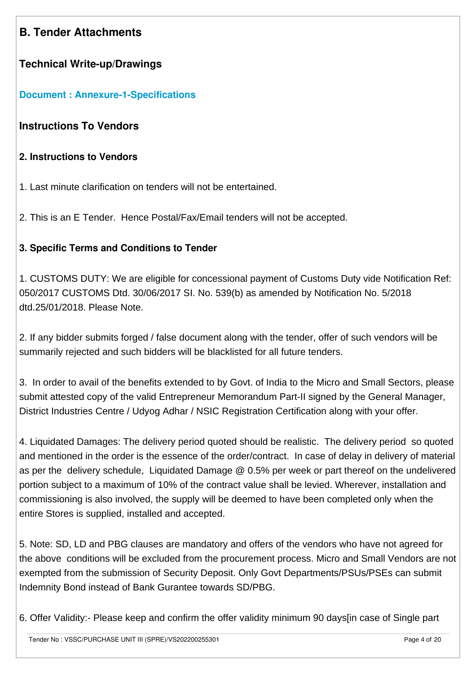## **B. Tender Attachments**

### **Technical Write-up/Drawings**

### **[Document : Annexure-1-Specifications](https://eproc.isro.gov.in/common/viewDocument?id=ff80808180f00caf0180f5dc94ff12e8&indentId=VS2022002553)**

### **Instructions To Vendors**

### **2. Instructions to Vendors**

- 1. Last minute clarification on tenders will not be entertained.
- 2. This is an E Tender. Hence Postal/Fax/Email tenders will not be accepted.

### **3. Specific Terms and Conditions to Tender**

1. CUSTOMS DUTY: We are eligible for concessional payment of Customs Duty vide Notification Ref: 050/2017 CUSTOMS Dtd. 30/06/2017 SI. No. 539(b) as amended by Notification No. 5/2018 dtd.25/01/2018. Please Note.

2. If any bidder submits forged / false document along with the tender, offer of such vendors will be summarily rejected and such bidders will be blacklisted for all future tenders.

3. In order to avail of the benefits extended to by Govt. of India to the Micro and Small Sectors, please submit attested copy of the valid Entrepreneur Memorandum Part-II signed by the General Manager, District Industries Centre / Udyog Adhar / NSIC Registration Certification along with your offer.

4. Liquidated Damages: The delivery period quoted should be realistic. The delivery period so quoted and mentioned in the order is the essence of the order/contract. In case of delay in delivery of material as per the delivery schedule, Liquidated Damage @ 0.5% per week or part thereof on the undelivered portion subject to a maximum of 10% of the contract value shall be levied. Wherever, installation and commissioning is also involved, the supply will be deemed to have been completed only when the entire Stores is supplied, installed and accepted.

5. Note: SD, LD and PBG clauses are mandatory and offers of the vendors who have not agreed for the above conditions will be excluded from the procurement process. Micro and Small Vendors are not exempted from the submission of Security Deposit. Only Govt Departments/PSUs/PSEs can submit Indemnity Bond instead of Bank Gurantee towards SD/PBG.

6. Offer Validity:- Please keep and confirm the offer validity minimum 90 days[in case of Single part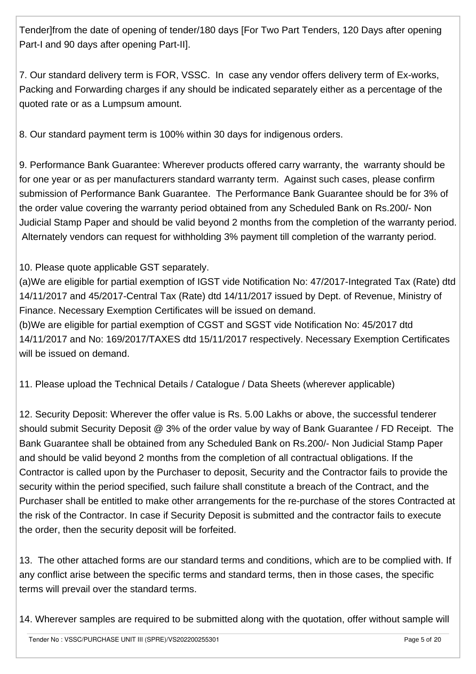Tender]from the date of opening of tender/180 days [For Two Part Tenders, 120 Days after opening Part-I and 90 days after opening Part-II].

7. Our standard delivery term is FOR, VSSC. In case any vendor offers delivery term of Ex-works, Packing and Forwarding charges if any should be indicated separately either as a percentage of the quoted rate or as a Lumpsum amount.

8. Our standard payment term is 100% within 30 days for indigenous orders.

9. Performance Bank Guarantee: Wherever products offered carry warranty, the warranty should be for one year or as per manufacturers standard warranty term. Against such cases, please confirm submission of Performance Bank Guarantee. The Performance Bank Guarantee should be for 3% of the order value covering the warranty period obtained from any Scheduled Bank on Rs.200/- Non Judicial Stamp Paper and should be valid beyond 2 months from the completion of the warranty period. Alternately vendors can request for withholding 3% payment till completion of the warranty period.

10. Please quote applicable GST separately.

(a)We are eligible for partial exemption of IGST vide Notification No: 47/2017-Integrated Tax (Rate) dtd 14/11/2017 and 45/2017-Central Tax (Rate) dtd 14/11/2017 issued by Dept. of Revenue, Ministry of Finance. Necessary Exemption Certificates will be issued on demand.

(b)We are eligible for partial exemption of CGST and SGST vide Notification No: 45/2017 dtd 14/11/2017 and No: 169/2017/TAXES dtd 15/11/2017 respectively. Necessary Exemption Certificates will be issued on demand.

11. Please upload the Technical Details / Catalogue / Data Sheets (wherever applicable)

12. Security Deposit: Wherever the offer value is Rs. 5.00 Lakhs or above, the successful tenderer should submit Security Deposit @ 3% of the order value by way of Bank Guarantee / FD Receipt. The Bank Guarantee shall be obtained from any Scheduled Bank on Rs.200/- Non Judicial Stamp Paper and should be valid beyond 2 months from the completion of all contractual obligations. If the Contractor is called upon by the Purchaser to deposit, Security and the Contractor fails to provide the security within the period specified, such failure shall constitute a breach of the Contract, and the Purchaser shall be entitled to make other arrangements for the re-purchase of the stores Contracted at the risk of the Contractor. In case if Security Deposit is submitted and the contractor fails to execute the order, then the security deposit will be forfeited.

13. The other attached forms are our standard terms and conditions, which are to be complied with. If any conflict arise between the specific terms and standard terms, then in those cases, the specific terms will prevail over the standard terms.

14. Wherever samples are required to be submitted along with the quotation, offer without sample will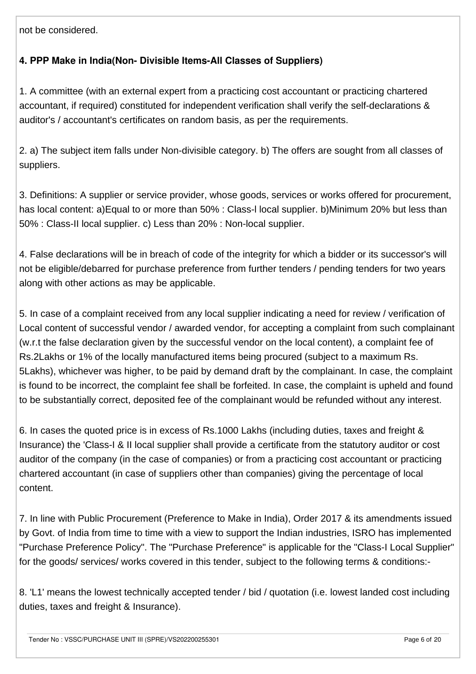not be considered.

### **4. PPP Make in India(Non- Divisible Items-All Classes of Suppliers)**

1. A committee (with an external expert from a practicing cost accountant or practicing chartered accountant, if required) constituted for independent verification shall verify the self-declarations & auditor's / accountant's certificates on random basis, as per the requirements.

2. a) The subject item falls under Non-divisible category. b) The offers are sought from all classes of suppliers.

3. Definitions: A supplier or service provider, whose goods, services or works offered for procurement, has local content: a)Equal to or more than 50% : Class-l local supplier. b)Minimum 20% but less than 50% : Class-II local supplier. c) Less than 20% : Non-local supplier.

4. False declarations will be in breach of code of the integrity for which a bidder or its successor's will not be eligible/debarred for purchase preference from further tenders / pending tenders for two years along with other actions as may be applicable.

5. In case of a complaint received from any local supplier indicating a need for review / verification of Local content of successful vendor / awarded vendor, for accepting a complaint from such complainant (w.r.t the false declaration given by the successful vendor on the local content), a complaint fee of Rs.2Lakhs or 1% of the locally manufactured items being procured (subject to a maximum Rs. 5Lakhs), whichever was higher, to be paid by demand draft by the complainant. In case, the complaint is found to be incorrect, the complaint fee shall be forfeited. In case, the complaint is upheld and found to be substantially correct, deposited fee of the complainant would be refunded without any interest.

6. In cases the quoted price is in excess of Rs.1000 Lakhs (including duties, taxes and freight & Insurance) the 'Class-I & II local supplier shall provide a certificate from the statutory auditor or cost auditor of the company (in the case of companies) or from a practicing cost accountant or practicing chartered accountant (in case of suppliers other than companies) giving the percentage of local content.

7. In line with Public Procurement (Preference to Make in India), Order 2017 & its amendments issued by Govt. of India from time to time with a view to support the Indian industries, ISRO has implemented "Purchase Preference Policy". The "Purchase Preference" is applicable for the "Class-I Local Supplier" for the goods/ services/ works covered in this tender, subject to the following terms & conditions:-

8. 'L1' means the lowest technically accepted tender / bid / quotation (i.e. lowest landed cost including duties, taxes and freight & Insurance).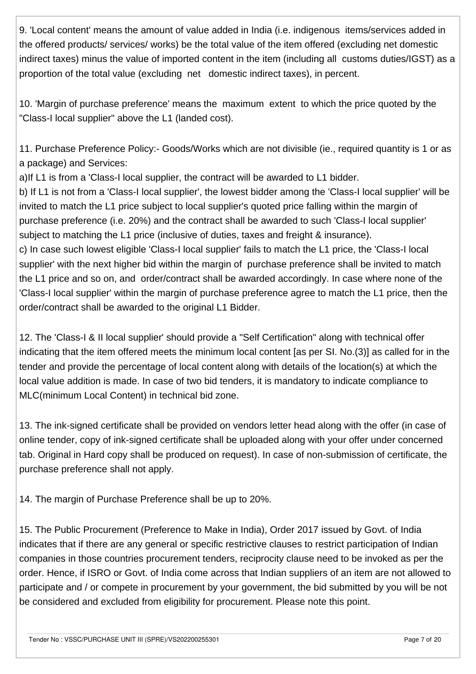9. 'Local content' means the amount of value added in India (i.e. indigenous items/services added in the offered products/ services/ works) be the total value of the item offered (excluding net domestic indirect taxes) minus the value of imported content in the item (including all customs duties/IGST) as a proportion of the total value (excluding net domestic indirect taxes), in percent.

10. 'Margin of purchase preference' means the maximum extent to which the price quoted by the "Class-I local supplier" above the L1 (landed cost).

11. Purchase Preference Policy:- Goods/Works which are not divisible (ie., required quantity is 1 or as a package) and Services:

a)If L1 is from a 'Class-I local supplier, the contract will be awarded to L1 bidder.

b) If L1 is not from a 'Class-I local supplier', the lowest bidder among the 'Class-I local supplier' will be invited to match the L1 price subject to local supplier's quoted price falling within the margin of purchase preference (i.e. 20%) and the contract shall be awarded to such 'Class-I local supplier' subiect to matching the L1 price (inclusive of duties, taxes and freight & insurance).

c) In case such lowest eligible 'Class-I local supplier' fails to match the L1 price, the 'Class-I local supplier' with the next higher bid within the margin of purchase preference shall be invited to match the L1 price and so on, and order/contract shall be awarded accordingly. In case where none of the 'Class-I local supplier' within the margin of purchase preference agree to match the L1 price, then the order/contract shall be awarded to the original L1 Bidder.

12. The 'Class-I & II local supplier' should provide a "Self Certification" along with technical offer indicating that the item offered meets the minimum local content [as per SI. No.(3)] as called for in the tender and provide the percentage of local content along with details of the location(s) at which the local value addition is made. In case of two bid tenders, it is mandatory to indicate compliance to MLC(minimum Local Content) in technical bid zone.

13. The ink-signed certificate shall be provided on vendors letter head along with the offer (in case of online tender, copy of ink-signed certificate shall be uploaded along with your offer under concerned tab. Original in Hard copy shall be produced on request). In case of non-submission of certificate, the purchase preference shall not apply.

14. The margin of Purchase Preference shall be up to 20%.

15. The Public Procurement (Preference to Make in India), Order 2017 issued by Govt. of India indicates that if there are any general or specific restrictive clauses to restrict participation of Indian companies in those countries procurement tenders, reciprocity clause need to be invoked as per the order. Hence, if ISRO or Govt. of India come across that Indian suppliers of an item are not allowed to participate and / or compete in procurement by your government, the bid submitted by you will be not be considered and excluded from eligibility for procurement. Please note this point.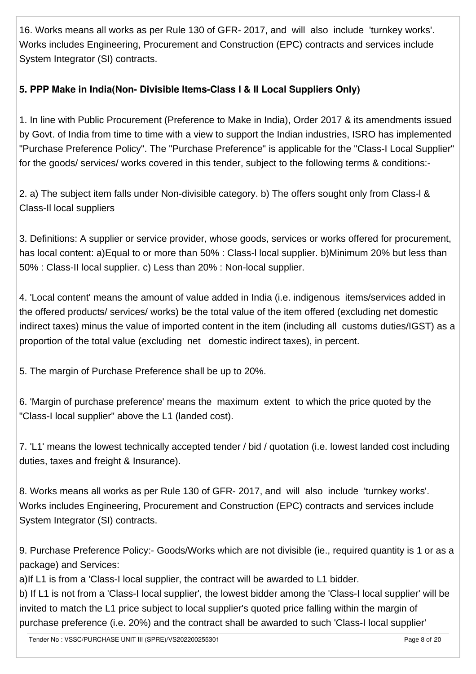16. Works means all works as per Rule 130 of GFR- 2017, and will also include 'turnkey works'. Works includes Engineering, Procurement and Construction (EPC) contracts and services include System Integrator (SI) contracts.

### **5. PPP Make in India(Non- Divisible Items-Class I & II Local Suppliers Only)**

1. In line with Public Procurement (Preference to Make in India), Order 2017 & its amendments issued by Govt. of India from time to time with a view to support the Indian industries, ISRO has implemented "Purchase Preference Policy". The "Purchase Preference" is applicable for the "Class-I Local Supplier" for the goods/ services/ works covered in this tender, subject to the following terms & conditions:-

2. a) The subject item falls under Non-divisible category. b) The offers sought only from Class-l & Class-Il local suppliers

3. Definitions: A supplier or service provider, whose goods, services or works offered for procurement, has local content: a)Equal to or more than 50% : Class-l local supplier. b)Minimum 20% but less than 50% : Class-II local supplier. c) Less than 20% : Non-local supplier.

4. 'Local content' means the amount of value added in India (i.e. indigenous items/services added in the offered products/ services/ works) be the total value of the item offered (excluding net domestic indirect taxes) minus the value of imported content in the item (including all customs duties/IGST) as a proportion of the total value (excluding net domestic indirect taxes), in percent.

5. The margin of Purchase Preference shall be up to 20%.

6. 'Margin of purchase preference' means the maximum extent to which the price quoted by the "Class-I local supplier" above the L1 (landed cost).

7. 'L1' means the lowest technically accepted tender / bid / quotation (i.e. lowest landed cost including duties, taxes and freight & Insurance).

8. Works means all works as per Rule 130 of GFR- 2017, and will also include 'turnkey works'. Works includes Engineering, Procurement and Construction (EPC) contracts and services include System Integrator (SI) contracts.

9. Purchase Preference Policy:- Goods/Works which are not divisible (ie., required quantity is 1 or as a package) and Services:

a)If L1 is from a 'Class-I local supplier, the contract will be awarded to L1 bidder.

b) If L1 is not from a 'Class-I local supplier', the lowest bidder among the 'Class-I local supplier' will be invited to match the L1 price subject to local supplier's quoted price falling within the margin of purchase preference (i.e. 20%) and the contract shall be awarded to such 'Class-I local supplier'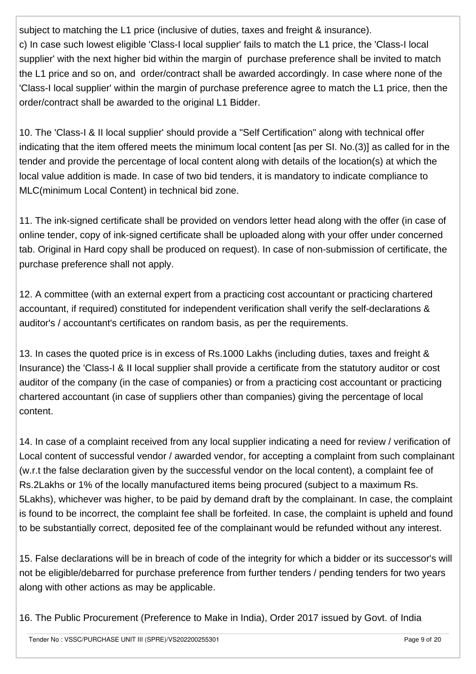subject to matching the L1 price (inclusive of duties, taxes and freight & insurance). c) In case such lowest eligible 'Class-I local supplier' fails to match the L1 price, the 'Class-I local supplier' with the next higher bid within the margin of purchase preference shall be invited to match the L1 price and so on, and order/contract shall be awarded accordingly. In case where none of the 'Class-I local supplier' within the margin of purchase preference agree to match the L1 price, then the order/contract shall be awarded to the original L1 Bidder.

10. The 'Class-I & II local supplier' should provide a "Self Certification" along with technical offer indicating that the item offered meets the minimum local content [as per SI. No.(3)] as called for in the tender and provide the percentage of local content along with details of the location(s) at which the local value addition is made. In case of two bid tenders, it is mandatory to indicate compliance to MLC(minimum Local Content) in technical bid zone.

11. The ink-signed certificate shall be provided on vendors letter head along with the offer (in case of online tender, copy of ink-signed certificate shall be uploaded along with your offer under concerned tab. Original in Hard copy shall be produced on request). In case of non-submission of certificate, the purchase preference shall not apply.

12. A committee (with an external expert from a practicing cost accountant or practicing chartered accountant, if required) constituted for independent verification shall verify the self-declarations & auditor's / accountant's certificates on random basis, as per the requirements.

13. In cases the quoted price is in excess of Rs.1000 Lakhs (including duties, taxes and freight & Insurance) the 'Class-I & II local supplier shall provide a certificate from the statutory auditor or cost auditor of the company (in the case of companies) or from a practicing cost accountant or practicing chartered accountant (in case of suppliers other than companies) giving the percentage of local content.

14. In case of a complaint received from any local supplier indicating a need for review / verification of Local content of successful vendor / awarded vendor, for accepting a complaint from such complainant (w.r.t the false declaration given by the successful vendor on the local content), a complaint fee of Rs.2Lakhs or 1% of the locally manufactured items being procured (subject to a maximum Rs. 5Lakhs), whichever was higher, to be paid by demand draft by the complainant. In case, the complaint is found to be incorrect, the complaint fee shall be forfeited. In case, the complaint is upheld and found to be substantially correct, deposited fee of the complainant would be refunded without any interest.

15. False declarations will be in breach of code of the integrity for which a bidder or its successor's will not be eligible/debarred for purchase preference from further tenders / pending tenders for two years along with other actions as may be applicable.

16. The Public Procurement (Preference to Make in India), Order 2017 issued by Govt. of India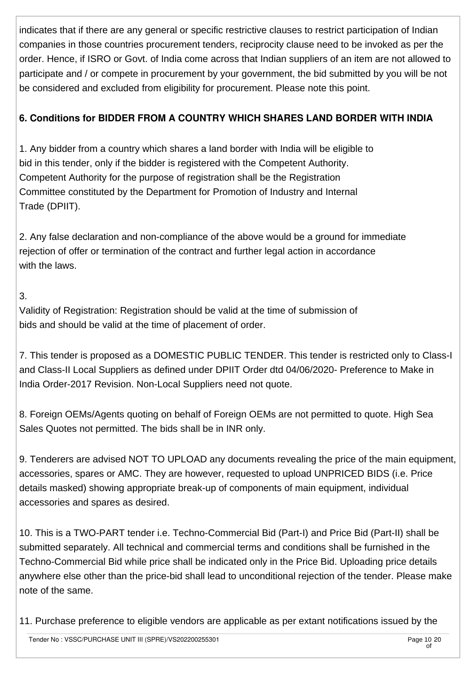indicates that if there are any general or specific restrictive clauses to restrict participation of Indian companies in those countries procurement tenders, reciprocity clause need to be invoked as per the order. Hence, if ISRO or Govt. of India come across that Indian suppliers of an item are not allowed to participate and / or compete in procurement by your government, the bid submitted by you will be not be considered and excluded from eligibility for procurement. Please note this point.

### **6. Conditions for BIDDER FROM A COUNTRY WHICH SHARES LAND BORDER WITH INDIA**

1. Any bidder from a country which shares a land border with India will be eligible to bid in this tender, only if the bidder is registered with the Competent Authority. Competent Authority for the purpose of registration shall be the Registration Committee constituted by the Department for Promotion of Industry and Internal Trade (DPIIT).

2. Any false declaration and non-compliance of the above would be a ground for immediate rejection of offer or termination of the contract and further legal action in accordance with the laws.

### 3.

Validity of Registration: Registration should be valid at the time of submission of bids and should be valid at the time of placement of order.

7. This tender is proposed as a DOMESTIC PUBLIC TENDER. This tender is restricted only to Class-I and Class-II Local Suppliers as defined under DPIIT Order dtd 04/06/2020- Preference to Make in India Order-2017 Revision. Non-Local Suppliers need not quote.

8. Foreign OEMs/Agents quoting on behalf of Foreign OEMs are not permitted to quote. High Sea Sales Quotes not permitted. The bids shall be in INR only.

9. Tenderers are advised NOT TO UPLOAD any documents revealing the price of the main equipment, accessories, spares or AMC. They are however, requested to upload UNPRICED BIDS (i.e. Price details masked) showing appropriate break-up of components of main equipment, individual accessories and spares as desired.

10. This is a TWO-PART tender i.e. Techno-Commercial Bid (Part-I) and Price Bid (Part-II) shall be submitted separately. All technical and commercial terms and conditions shall be furnished in the Techno-Commercial Bid while price shall be indicated only in the Price Bid. Uploading price details anywhere else other than the price-bid shall lead to unconditional rejection of the tender. Please make note of the same.

11. Purchase preference to eligible vendors are applicable as per extant notifications issued by the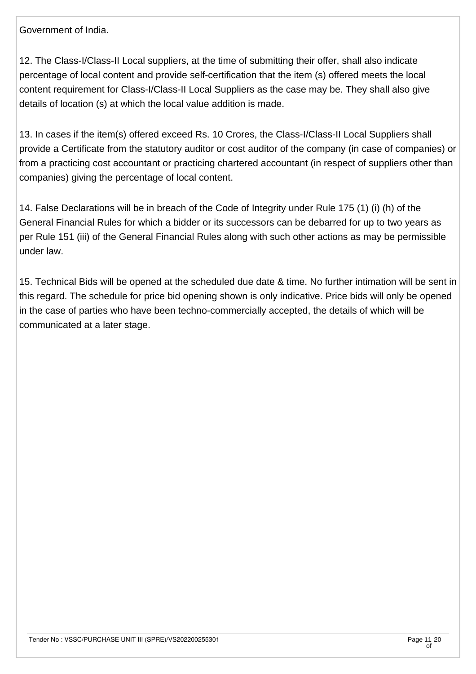Government of India.

12. The Class-I/Class-II Local suppliers, at the time of submitting their offer, shall also indicate percentage of local content and provide self-certification that the item (s) offered meets the local content requirement for Class-I/Class-II Local Suppliers as the case may be. They shall also give details of location (s) at which the local value addition is made.

13. In cases if the item(s) offered exceed Rs. 10 Crores, the Class-I/Class-II Local Suppliers shall provide a Certificate from the statutory auditor or cost auditor of the company (in case of companies) or from a practicing cost accountant or practicing chartered accountant (in respect of suppliers other than companies) giving the percentage of local content.

14. False Declarations will be in breach of the Code of Integrity under Rule 175 (1) (i) (h) of the General Financial Rules for which a bidder or its successors can be debarred for up to two years as per Rule 151 (iii) of the General Financial Rules along with such other actions as may be permissible under law.

15. Technical Bids will be opened at the scheduled due date & time. No further intimation will be sent in this regard. The schedule for price bid opening shown is only indicative. Price bids will only be opened in the case of parties who have been techno-commercially accepted, the details of which will be communicated at a later stage.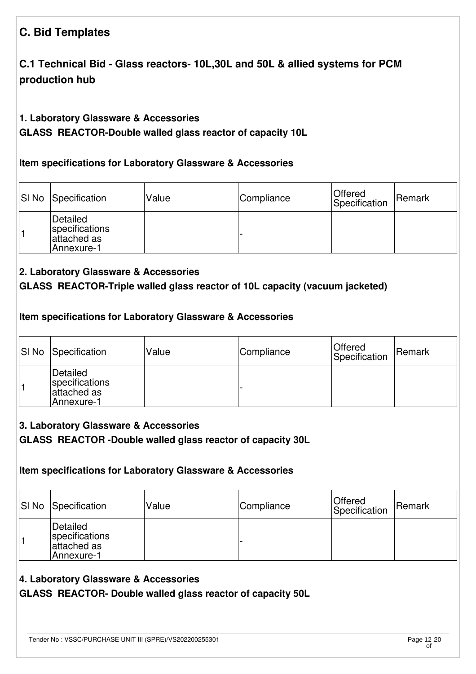# **C. Bid Templates**

## **C.1 Technical Bid - Glass reactors- 10L,30L and 50L & allied systems for PCM production hub**

#### **1. Laboratory Glassware & Accessories**

**GLASS REACTOR-Double walled glass reactor of capacity 10L** 

#### **Item specifications for Laboratory Glassware & Accessories**

| SI No Specification                                     | Value | Compliance | Offered<br>Specification | <b>Remark</b> |
|---------------------------------------------------------|-------|------------|--------------------------|---------------|
| Detailed<br>specifications<br>attached as<br>Annexure-1 |       |            |                          |               |

#### **2. Laboratory Glassware & Accessories**

### **GLASS REACTOR-Triple walled glass reactor of 10L capacity (vacuum jacketed)**

#### **Item specifications for Laboratory Glassware & Accessories**

| <b>SI No Specification</b>                               | Value | Compliance | <b>Offered</b><br>Specification | Remark |
|----------------------------------------------------------|-------|------------|---------------------------------|--------|
| Detailed<br>specifications<br>lattached as<br>Annexure-1 |       |            |                                 |        |

#### **3. Laboratory Glassware & Accessories**

#### **GLASS REACTOR -Double walled glass reactor of capacity 30L**

#### **Item specifications for Laboratory Glassware & Accessories**

| SI No Specification                                      | Value | Compliance | Offered<br>Specification | <b>Remark</b> |
|----------------------------------------------------------|-------|------------|--------------------------|---------------|
| Detailed<br>specifications<br>attached asl<br>Annexure-1 |       |            |                          |               |

#### **4. Laboratory Glassware & Accessories**

**GLASS REACTOR- Double walled glass reactor of capacity 50L**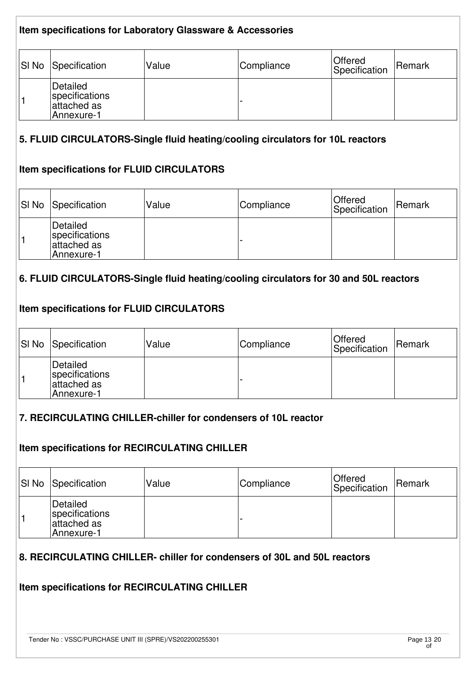| Item specifications for Laboratory Glassware & Accessories |                                                         |       |            |                          |        |  |
|------------------------------------------------------------|---------------------------------------------------------|-------|------------|--------------------------|--------|--|
| SI <sub>No</sub>                                           | Specification                                           | Value | Compliance | Offered<br>Specification | Remark |  |
|                                                            | Detailed<br>specifications<br>attached as<br>Annexure-1 |       |            |                          |        |  |

#### **5. FLUID CIRCULATORS-Single fluid heating/cooling circulators for 10L reactors**

#### **Item specifications for FLUID CIRCULATORS**

| <b>SI No Specification</b>                               | Value | Compliance | Offered<br>Specification | Remark |
|----------------------------------------------------------|-------|------------|--------------------------|--------|
| Detailed<br>specifications<br>lattached as<br>Annexure-1 |       |            |                          |        |

#### **6. FLUID CIRCULATORS-Single fluid heating/cooling circulators for 30 and 50L reactors**

#### **Item specifications for FLUID CIRCULATORS**

| <b>SI No Specification</b>                               | Value | Compliance | <b>Offered</b><br>Specification | Remark |
|----------------------------------------------------------|-------|------------|---------------------------------|--------|
| Detailed<br>specifications<br>lattached as<br>Annexure-1 |       |            |                                 |        |

#### **7. RECIRCULATING CHILLER-chiller for condensers of 10L reactor**

#### **Item specifications for RECIRCULATING CHILLER**

| <b>SI No Specification</b>                              | Value | Compliance | Offered<br>Specification | Remark |
|---------------------------------------------------------|-------|------------|--------------------------|--------|
| Detailed<br>specifications<br>attached as<br>Annexure-1 |       |            |                          |        |

#### **8. RECIRCULATING CHILLER- chiller for condensers of 30L and 50L reactors**

#### **Item specifications for RECIRCULATING CHILLER**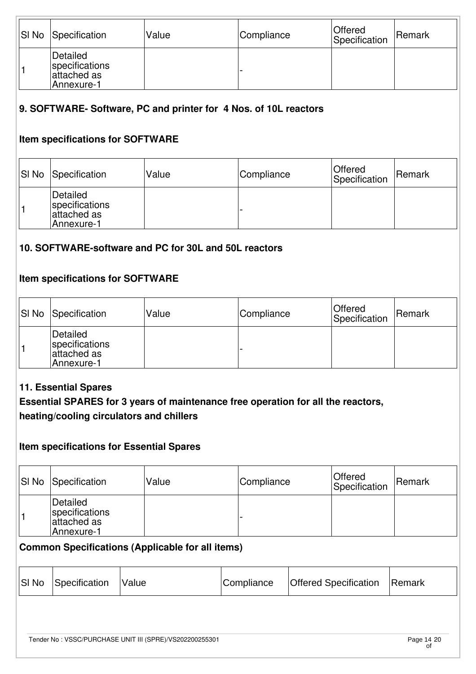| <b>SI No Specification</b>                              | Value | Compliance | Offered<br>Specification | Remark |
|---------------------------------------------------------|-------|------------|--------------------------|--------|
| Detailed<br>specifications<br>attached as<br>Annexure-1 |       |            |                          |        |

#### **9. SOFTWARE- Software, PC and printer for 4 Nos. of 10L reactors**

#### **Item specifications for SOFTWARE**

| SI No Specification                                     | Value | Compliance | Offered<br>Specification | Remark |
|---------------------------------------------------------|-------|------------|--------------------------|--------|
| Detailed<br>specifications<br>attached as<br>Annexure-1 |       |            |                          |        |

#### **10. SOFTWARE-software and PC for 30L and 50L reactors**

#### **Item specifications for SOFTWARE**

| <b>SI No Specification</b>                              | Value | Compliance | Offered<br>Specification | Remark |
|---------------------------------------------------------|-------|------------|--------------------------|--------|
| Detailed<br>specifications<br>attached as<br>Annexure-1 |       |            |                          |        |

#### **11. Essential Spares**

### **Essential SPARES for 3 years of maintenance free operation for all the reactors, heating/cooling circulators and chillers**

#### **Item specifications for Essential Spares**

| <b>SI No Specification</b>                              | Value | Compliance | Offered<br>Specification | Remark |
|---------------------------------------------------------|-------|------------|--------------------------|--------|
| Detailed<br>specifications<br>attached as<br>Annexure-1 |       |            |                          |        |

#### **Common Specifications (Applicable for all items)**

|  | SI No Specification | <i><b>Nalue</b></i> | Compliance | <b>Offered Specification</b> | <b>Remark</b> |
|--|---------------------|---------------------|------------|------------------------------|---------------|
|--|---------------------|---------------------|------------|------------------------------|---------------|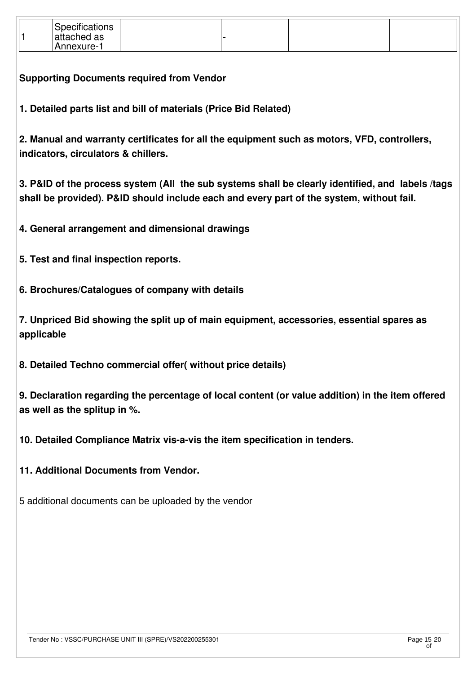| Specifications<br>attached as<br>Annexure- |  |  |  |
|--------------------------------------------|--|--|--|
|--------------------------------------------|--|--|--|

**Supporting Documents required from Vendor**

**1. Detailed parts list and bill of materials (Price Bid Related)**

**2. Manual and warranty certificates for all the equipment such as motors, VFD, controllers, indicators, circulators & chillers.**

**3. P&ID of the process system (All the sub systems shall be clearly identified, and labels /tags shall be provided). P&ID should include each and every part of the system, without fail.** 

**4. General arrangement and dimensional drawings**

**5. Test and final inspection reports.** 

**6. Brochures/Catalogues of company with details**

**7. Unpriced Bid showing the split up of main equipment, accessories, essential spares as applicable**

**8. Detailed Techno commercial offer( without price details)**

**9. Declaration regarding the percentage of local content (or value addition) in the item offered as well as the splitup in %.**

**10. Detailed Compliance Matrix vis-a-vis the item specification in tenders.**

**11. Additional Documents from Vendor.**

5 additional documents can be uploaded by the vendor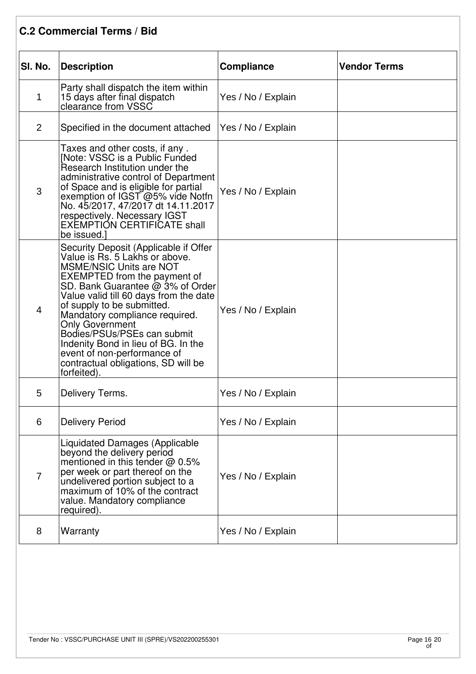### **C.2 Commercial Terms / Bid**

| SI. No.        | <b>Description</b>                                                                                                                                                                                                                                                                                                                                                                                                                                                                  | <b>Compliance</b>  | <b>Vendor Terms</b> |
|----------------|-------------------------------------------------------------------------------------------------------------------------------------------------------------------------------------------------------------------------------------------------------------------------------------------------------------------------------------------------------------------------------------------------------------------------------------------------------------------------------------|--------------------|---------------------|
| $\mathbf 1$    | Party shall dispatch the item within<br>15 days after final dispatch<br>clearance from VSSC                                                                                                                                                                                                                                                                                                                                                                                         | Yes / No / Explain |                     |
| $\overline{2}$ | Specified in the document attached                                                                                                                                                                                                                                                                                                                                                                                                                                                  | Yes / No / Explain |                     |
| 3              | Taxes and other costs, if any.<br>[Note: VSSC is a Public Funded<br>Research Institution under the<br>administrative control of Department<br>of Space and is eligible for partial<br>exemption of IGST @5% vide Notfn<br>No. 45/2017, 47/2017 dt 14.11.2017<br>respectively. Necessary IGST<br>EXEMPTIÓN CERTIFICATE shall<br>be issued.]                                                                                                                                          | Yes / No / Explain |                     |
| 4              | Security Deposit (Applicable if Offer<br>Value is Rs. 5 Lakhs or above.<br><b>MSME/NSIC Units are NOT</b><br><b>EXEMPTED</b> from the payment of<br>SD. Bank Guarantee @ 3% of Order<br>Value valid till 60 days from the date<br>of supply to be submitted.<br>Mandatory compliance required.<br><b>Only Government</b><br>Bodies/PSUs/PSEs can submit<br>Indenity Bond in lieu of BG. In the<br>event of non-performance of<br>contractual obligations, SD will be<br>forfeited). | Yes / No / Explain |                     |
| 5              | Delivery Terms.                                                                                                                                                                                                                                                                                                                                                                                                                                                                     | Yes / No / Explain |                     |
| 6              | <b>Delivery Period</b>                                                                                                                                                                                                                                                                                                                                                                                                                                                              | Yes / No / Explain |                     |
| $\overline{7}$ | <b>Liquidated Damages (Applicable</b><br>beyond the delivery period<br>mentioned in this tender @ 0.5%<br>per week or part thereof on the<br>undelivered portion subject to a<br>maximum of 10% of the contract<br>value. Mandatory compliance<br>required).                                                                                                                                                                                                                        | Yes / No / Explain |                     |
| 8              | Warranty                                                                                                                                                                                                                                                                                                                                                                                                                                                                            | Yes / No / Explain |                     |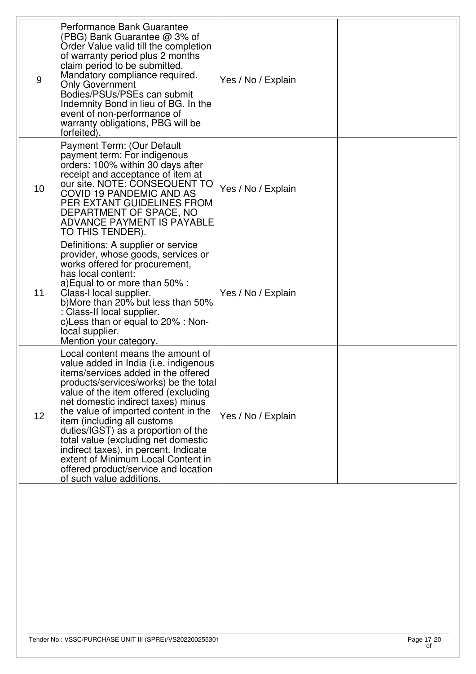| 9               | Performance Bank Guarantee<br>(PBG) Bank Guarantee @ 3% of<br>Order Value valid till the completion<br>of warranty period plus 2 months<br>claim period to be submitted.<br>Mandatory compliance required.<br><b>Only Government</b><br>Bodies/PSUs/PSEs can submit<br>Indemnity Bond in lieu of BG. In the<br>event of non-performance of<br>warranty obligations, PBG will be<br>forfeited).                                                                                                                                                    | Yes / No / Explain |  |
|-----------------|---------------------------------------------------------------------------------------------------------------------------------------------------------------------------------------------------------------------------------------------------------------------------------------------------------------------------------------------------------------------------------------------------------------------------------------------------------------------------------------------------------------------------------------------------|--------------------|--|
| 10 <sup>1</sup> | Payment Term: (Our Default<br>payment term: For indigenous<br>orders: 100% within 30 days after<br>receipt and acceptance of item at<br>our site. NOTE: CONSEQUENT TO<br><b>COVID 19 PANDEMIC AND AS</b><br>PER EXTANT GUIDELINES FROM<br>DEPARTMENT OF SPACE, NO<br><b>ADVANCE PAYMENT IS PAYABLE</b><br>TO THIS TENDER).                                                                                                                                                                                                                        | Yes / No / Explain |  |
| 11              | Definitions: A supplier or service<br>provider, whose goods, services or<br>works offered for procurement,<br>has local content:<br>a) Equal to or more than 50% :<br>Class-I local supplier.<br>b)More than 20% but less than 50%<br>: Class-II local supplier.<br>c) Less than or equal to 20% : Non-<br>local supplier.<br>Mention your category.                                                                                                                                                                                              | Yes / No / Explain |  |
| 12              | Local content means the amount of<br>value added in India (i.e. indigenous<br>litems/services added in the offered<br>products/services/works) be the total<br>value of the item offered (excluding<br>net domestic indirect taxes) minus<br>the value of imported content in the<br>item (including all customs<br>duties/IGST) as a proportion of the<br>total value (excluding net domestic<br>indirect taxes), in percent. Indicate<br>extent of Minimum Local Content in<br>offered product/service and location<br>of such value additions. | Yes / No / Explain |  |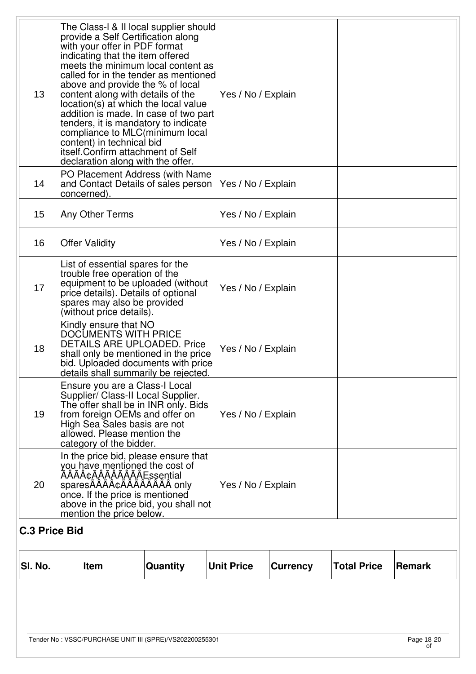|                      |                                                                                                                                                                                                                                                                                                                                                                                                                                                                                                                                                                               | ∣Item                 | Quantity                                                               | <b>Unit Price</b>  | <b>Currency</b> | <b>Total Price</b> | <b>Remark</b> |
|----------------------|-------------------------------------------------------------------------------------------------------------------------------------------------------------------------------------------------------------------------------------------------------------------------------------------------------------------------------------------------------------------------------------------------------------------------------------------------------------------------------------------------------------------------------------------------------------------------------|-----------------------|------------------------------------------------------------------------|--------------------|-----------------|--------------------|---------------|
| <b>C.3 Price Bid</b> |                                                                                                                                                                                                                                                                                                                                                                                                                                                                                                                                                                               |                       |                                                                        |                    |                 |                    |               |
| 20                   | In the price bid, please ensure that<br>you have mentioned the cost of<br>ÃÂâÃÂÃÂÃÂÂÂEssential<br>sparesÄÄÄÄÅ¢ÄÄÄÄÄÄÄÄÄ only<br>once. If the price is mentioned<br>above in the price bid, you shall not<br>mention the price below.                                                                                                                                                                                                                                                                                                                                          |                       |                                                                        | Yes / No / Explain |                 |                    |               |
| 19                   | Ensure you are a Class-I Local<br>Supplier/ Class-II Local Supplier.<br>The offer shall be in INR only. Bids<br>from foreign OEMs and offer on<br>High Sea Sales basis are not<br>allowed. Please mention the<br>category of the bidder.                                                                                                                                                                                                                                                                                                                                      |                       |                                                                        | Yes / No / Explain |                 |                    |               |
| 18                   | Kindly ensure that NO<br><b>DOCUMENTS WITH PRICE</b><br><b>DETAILS ARE UPLOADED. Price</b><br>shall only be mentioned in the price<br>bid. Uploaded documents with price<br>details shall summarily be rejected.                                                                                                                                                                                                                                                                                                                                                              |                       |                                                                        | Yes / No / Explain |                 |                    |               |
| 17                   | List of essential spares for the<br>trouble free operation of the<br>equipment to be uploaded (without<br>price details). Details of optional<br>spares may also be provided<br>(without price details).                                                                                                                                                                                                                                                                                                                                                                      |                       |                                                                        | Yes / No / Explain |                 |                    |               |
| 16                   |                                                                                                                                                                                                                                                                                                                                                                                                                                                                                                                                                                               | <b>Offer Validity</b> |                                                                        | Yes / No / Explain |                 |                    |               |
| 15                   |                                                                                                                                                                                                                                                                                                                                                                                                                                                                                                                                                                               | Any Other Terms       |                                                                        | Yes / No / Explain |                 |                    |               |
| 14                   |                                                                                                                                                                                                                                                                                                                                                                                                                                                                                                                                                                               | concerned).           | PO Placement Address (with Name<br>and Contact Details of sales person | Yes / No / Explain |                 |                    |               |
| 13                   | The Class-I & II local supplier should<br>provide a Self Certification along<br>with your offer in PDF format<br>indicating that the item offered<br>meets the minimum local content as<br>called for in the tender as mentioned<br>above and provide the % of local<br>content along with details of the<br>location(s) at which the local value<br>addition is made. In case of two part<br>tenders, it is mandatory to indicate<br>compliance to MLC(minimum local<br>content) in technical bid<br>itself. Confirm attachment of Self<br>declaration along with the offer. |                       |                                                                        | Yes / No / Explain |                 |                    |               |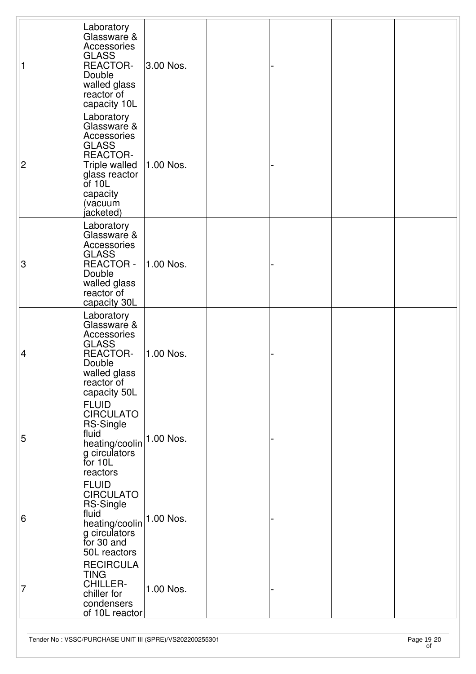| 1                         | Laboratory<br>Glassware &<br>Accessories<br><b>GLASS</b><br><b>REACTOR-</b><br>Double<br>walled glass<br>reactor of<br>capacity 10L                           | 3.00 Nos. |  |  |
|---------------------------|---------------------------------------------------------------------------------------------------------------------------------------------------------------|-----------|--|--|
| $\overline{2}$            | Laboratory<br>Glassware &<br>Accessories<br><b>GLASS</b><br><b>REACTOR-</b><br>Triple walled<br>glass reactor<br>$of$ 10L<br>capacity<br>(vacuum<br>jacketed) | 1.00 Nos. |  |  |
| $\ensuremath{\mathsf{3}}$ | Laboratory<br>Glassware &<br>Accessories<br><b>GLASS</b><br><b>REACTOR -</b><br>Double<br>walled glass<br>reactor of<br>capacity 30L                          | 1.00 Nos. |  |  |
| $\overline{\mathcal{A}}$  | Laboratory<br>Glassware &<br>Accessories<br><b>GLASS</b><br><b>REACTOR-</b><br>Double<br>walled glass<br>reactor of<br>capacity 50L                           | 1.00 Nos. |  |  |
| 5                         | <b>FLUID</b><br><b>CIRCULATO</b><br><b>RS-Single</b><br>fluid<br>heating/coolin<br>g circulators<br>for 10L<br>reactors                                       | 1.00 Nos. |  |  |
| 6                         | <b>FLUID</b><br><b>CIRCULATO</b><br><b>RS-Single</b><br>fluid<br>heating/coolin<br>g circulators<br>for 30 and<br>50L reactors                                | 1.00 Nos. |  |  |
| 7                         | <b>RECIRCULA</b><br><b>TING</b><br><b>CHILLER-</b><br>chiller for<br>condensers<br>of 10L reactor                                                             | 1.00 Nos. |  |  |